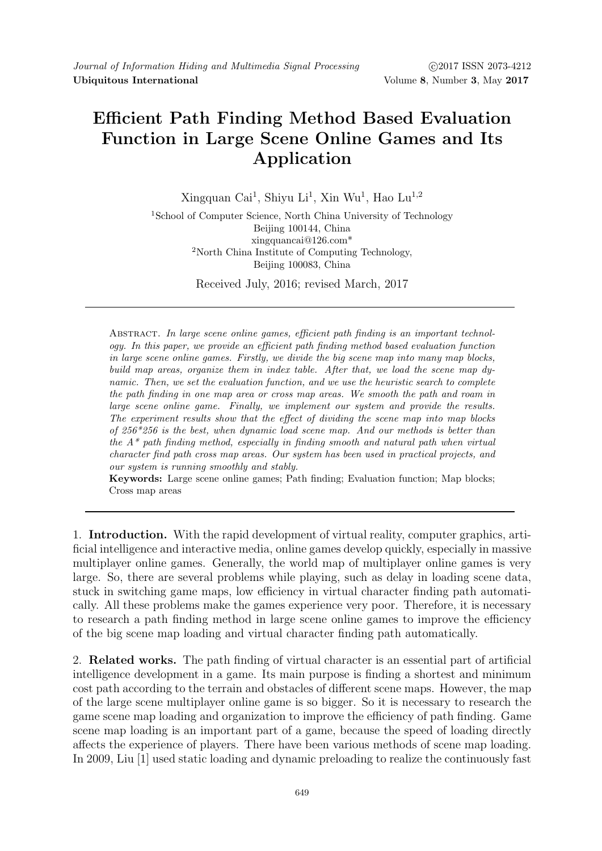## Efficient Path Finding Method Based Evaluation Function in Large Scene Online Games and Its Application

Xingquan Cai<sup>1</sup>, Shiyu Li<sup>1</sup>, Xin Wu<sup>1</sup>, Hao Lu<sup>1,2</sup>

<sup>1</sup>School of Computer Science, North China University of Technology Beijing 100144, China xingquancai@126.com\* <sup>2</sup>North China Institute of Computing Technology, Beijing 100083, China

Received July, 2016; revised March, 2017

ABSTRACT. In large scene online games, efficient path finding is an important technology. In this paper, we provide an efficient path finding method based evaluation function in large scene online games. Firstly, we divide the big scene map into many map blocks, build map areas, organize them in index table. After that, we load the scene map dynamic. Then, we set the evaluation function, and we use the heuristic search to complete the path finding in one map area or cross map areas. We smooth the path and roam in large scene online game. Finally, we implement our system and provide the results. The experiment results show that the effect of dividing the scene map into map blocks of 256\*256 is the best, when dynamic load scene map. And our methods is better than the  $A^*$  path finding method, especially in finding smooth and natural path when virtual character find path cross map areas. Our system has been used in practical projects, and our system is running smoothly and stably.

Keywords: Large scene online games; Path finding; Evaluation function; Map blocks; Cross map areas

1. Introduction. With the rapid development of virtual reality, computer graphics, artificial intelligence and interactive media, online games develop quickly, especially in massive multiplayer online games. Generally, the world map of multiplayer online games is very large. So, there are several problems while playing, such as delay in loading scene data, stuck in switching game maps, low efficiency in virtual character finding path automatically. All these problems make the games experience very poor. Therefore, it is necessary to research a path finding method in large scene online games to improve the efficiency of the big scene map loading and virtual character finding path automatically.

2. Related works. The path finding of virtual character is an essential part of artificial intelligence development in a game. Its main purpose is finding a shortest and minimum cost path according to the terrain and obstacles of different scene maps. However, the map of the large scene multiplayer online game is so bigger. So it is necessary to research the game scene map loading and organization to improve the efficiency of path finding. Game scene map loading is an important part of a game, because the speed of loading directly affects the experience of players. There have been various methods of scene map loading. In 2009, Liu [1] used static loading and dynamic preloading to realize the continuously fast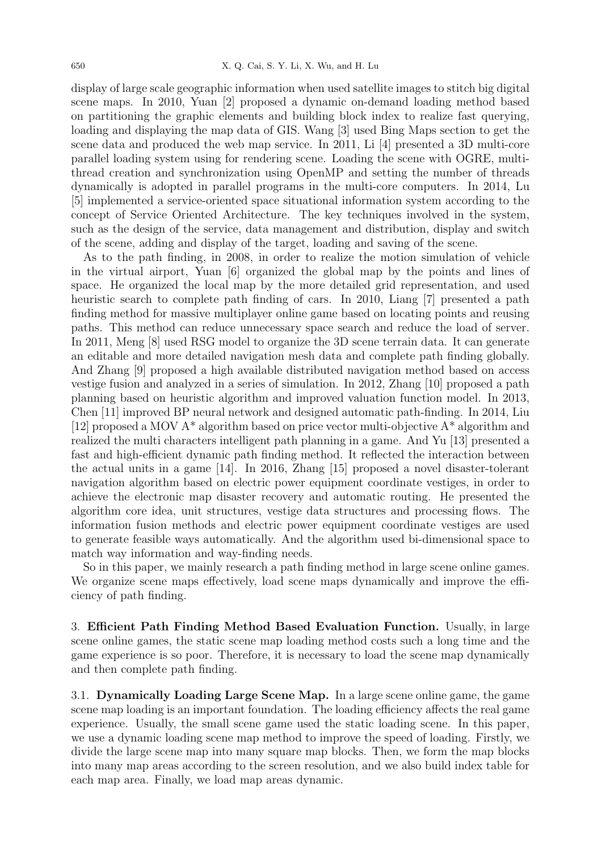display of large scale geographic information when used satellite images to stitch big digital scene maps. In 2010, Yuan [2] proposed a dynamic on-demand loading method based on partitioning the graphic elements and building block index to realize fast querying, loading and displaying the map data of GIS. Wang [3] used Bing Maps section to get the scene data and produced the web map service. In 2011, Li [4] presented a 3D multi-core parallel loading system using for rendering scene. Loading the scene with OGRE, multithread creation and synchronization using OpenMP and setting the number of threads dynamically is adopted in parallel programs in the multi-core computers. In 2014, Lu [5] implemented a service-oriented space situational information system according to the concept of Service Oriented Architecture. The key techniques involved in the system, such as the design of the service, data management and distribution, display and switch of the scene, adding and display of the target, loading and saving of the scene.

As to the path finding, in 2008, in order to realize the motion simulation of vehicle in the virtual airport, Yuan [6] organized the global map by the points and lines of space. He organized the local map by the more detailed grid representation, and used heuristic search to complete path finding of cars. In 2010, Liang [7] presented a path finding method for massive multiplayer online game based on locating points and reusing paths. This method can reduce unnecessary space search and reduce the load of server. In 2011, Meng [8] used RSG model to organize the 3D scene terrain data. It can generate an editable and more detailed navigation mesh data and complete path finding globally. And Zhang [9] proposed a high available distributed navigation method based on access vestige fusion and analyzed in a series of simulation. In 2012, Zhang [10] proposed a path planning based on heuristic algorithm and improved valuation function model. In 2013, Chen [11] improved BP neural network and designed automatic path-finding. In 2014, Liu [12] proposed a MOV A\* algorithm based on price vector multi-objective A\* algorithm and realized the multi characters intelligent path planning in a game. And Yu [13] presented a fast and high-efficient dynamic path finding method. It reflected the interaction between the actual units in a game [14]. In 2016, Zhang [15] proposed a novel disaster-tolerant navigation algorithm based on electric power equipment coordinate vestiges, in order to achieve the electronic map disaster recovery and automatic routing. He presented the algorithm core idea, unit structures, vestige data structures and processing flows. The information fusion methods and electric power equipment coordinate vestiges are used to generate feasible ways automatically. And the algorithm used bi-dimensional space to match way information and way-finding needs.

So in this paper, we mainly research a path finding method in large scene online games. We organize scene maps effectively, load scene maps dynamically and improve the efficiency of path finding.

3. Efficient Path Finding Method Based Evaluation Function. Usually, in large scene online games, the static scene map loading method costs such a long time and the game experience is so poor. Therefore, it is necessary to load the scene map dynamically and then complete path finding.

3.1. Dynamically Loading Large Scene Map. In a large scene online game, the game scene map loading is an important foundation. The loading efficiency affects the real game experience. Usually, the small scene game used the static loading scene. In this paper, we use a dynamic loading scene map method to improve the speed of loading. Firstly, we divide the large scene map into many square map blocks. Then, we form the map blocks into many map areas according to the screen resolution, and we also build index table for each map area. Finally, we load map areas dynamic.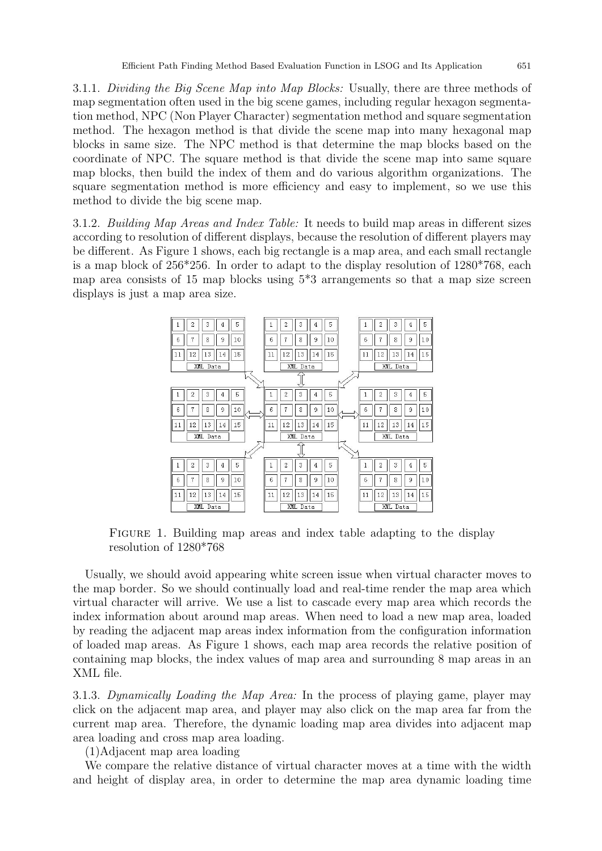3.1.1. Dividing the Big Scene Map into Map Blocks: Usually, there are three methods of map segmentation often used in the big scene games, including regular hexagon segmentation method, NPC (Non Player Character) segmentation method and square segmentation method. The hexagon method is that divide the scene map into many hexagonal map blocks in same size. The NPC method is that determine the map blocks based on the coordinate of NPC. The square method is that divide the scene map into same square map blocks, then build the index of them and do various algorithm organizations. The square segmentation method is more efficiency and easy to implement, so we use this method to divide the big scene map.

3.1.2. Building Map Areas and Index Table: It needs to build map areas in different sizes according to resolution of different displays, because the resolution of different players may be different. As Figure 1 shows, each big rectangle is a map area, and each small rectangle is a map block of 256\*256. In order to adapt to the display resolution of 1280\*768, each map area consists of 15 map blocks using 5\*3 arrangements so that a map size screen displays is just a map area size.



FIGURE 1. Building map areas and index table adapting to the display resolution of 1280\*768

Usually, we should avoid appearing white screen issue when virtual character moves to the map border. So we should continually load and real-time render the map area which virtual character will arrive. We use a list to cascade every map area which records the index information about around map areas. When need to load a new map area, loaded by reading the adjacent map areas index information from the configuration information of loaded map areas. As Figure 1 shows, each map area records the relative position of containing map blocks, the index values of map area and surrounding 8 map areas in an XML file.

3.1.3. Dynamically Loading the Map Area: In the process of playing game, player may click on the adjacent map area, and player may also click on the map area far from the current map area. Therefore, the dynamic loading map area divides into adjacent map area loading and cross map area loading.

(1)Adjacent map area loading

We compare the relative distance of virtual character moves at a time with the width and height of display area, in order to determine the map area dynamic loading time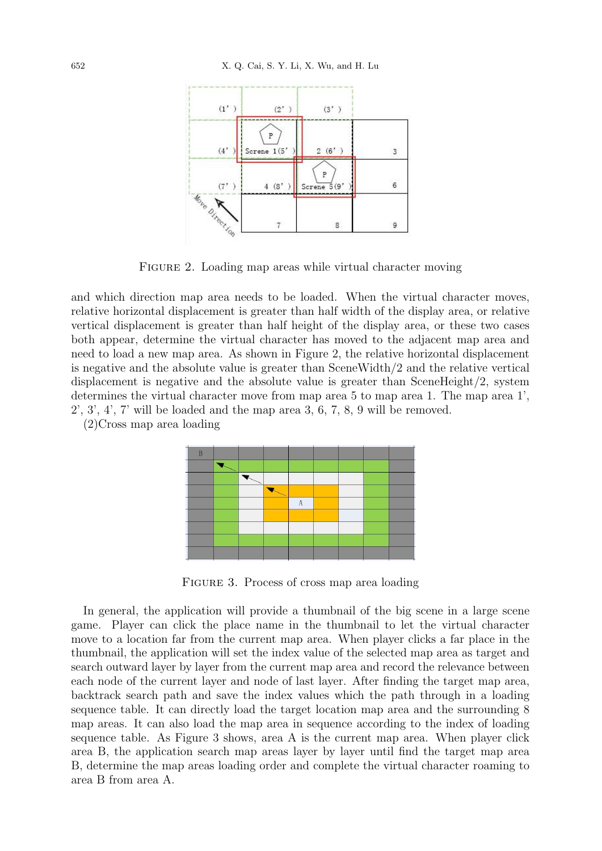

FIGURE 2. Loading map areas while virtual character moving

and which direction map area needs to be loaded. When the virtual character moves, relative horizontal displacement is greater than half width of the display area, or relative vertical displacement is greater than half height of the display area, or these two cases both appear, determine the virtual character has moved to the adjacent map area and need to load a new map area. As shown in Figure 2, the relative horizontal displacement is negative and the absolute value is greater than SceneWidth/2 and the relative vertical displacement is negative and the absolute value is greater than SceneHeight/2, system determines the virtual character move from map area 5 to map area 1. The map area 1', 2', 3', 4', 7' will be loaded and the map area 3, 6, 7, 8, 9 will be removed.

(2)Cross map area loading



Figure 3. Process of cross map area loading

In general, the application will provide a thumbnail of the big scene in a large scene game. Player can click the place name in the thumbnail to let the virtual character move to a location far from the current map area. When player clicks a far place in the thumbnail, the application will set the index value of the selected map area as target and search outward layer by layer from the current map area and record the relevance between each node of the current layer and node of last layer. After finding the target map area, backtrack search path and save the index values which the path through in a loading sequence table. It can directly load the target location map area and the surrounding 8 map areas. It can also load the map area in sequence according to the index of loading sequence table. As Figure 3 shows, area A is the current map area. When player click area B, the application search map areas layer by layer until find the target map area B, determine the map areas loading order and complete the virtual character roaming to area B from area A.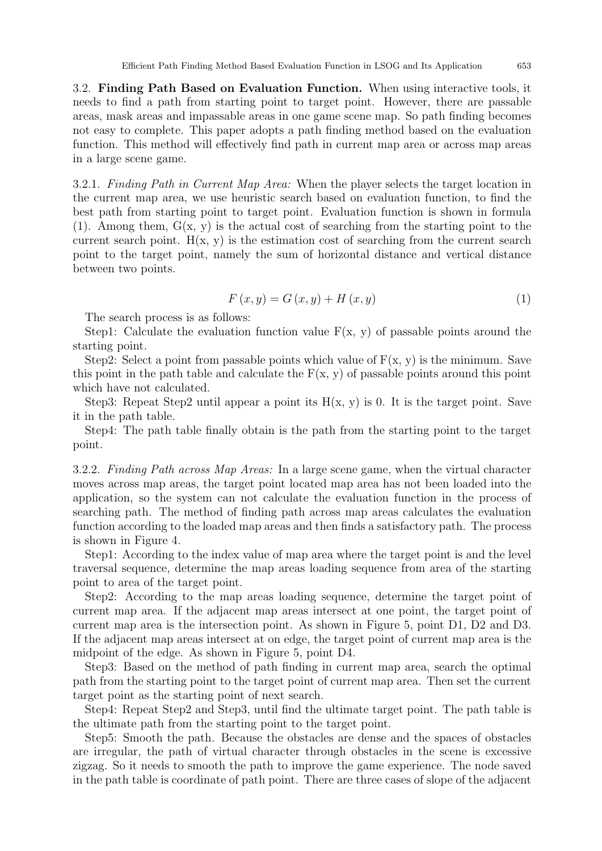3.2. Finding Path Based on Evaluation Function. When using interactive tools, it needs to find a path from starting point to target point. However, there are passable areas, mask areas and impassable areas in one game scene map. So path finding becomes not easy to complete. This paper adopts a path finding method based on the evaluation function. This method will effectively find path in current map area or across map areas in a large scene game.

3.2.1. Finding Path in Current Map Area: When the player selects the target location in the current map area, we use heuristic search based on evaluation function, to find the best path from starting point to target point. Evaluation function is shown in formula  $(1)$ . Among them,  $G(x, y)$  is the actual cost of searching from the starting point to the current search point.  $H(x, y)$  is the estimation cost of searching from the current search point to the target point, namely the sum of horizontal distance and vertical distance between two points.

$$
F(x, y) = G(x, y) + H(x, y)
$$
\n(1)

The search process is as follows:

Step1: Calculate the evaluation function value  $F(x, y)$  of passable points around the starting point.

Step2: Select a point from passable points which value of  $F(x, y)$  is the minimum. Save this point in the path table and calculate the  $F(x, y)$  of passable points around this point which have not calculated.

Step3: Repeat Step2 until appear a point its  $H(x, y)$  is 0. It is the target point. Save it in the path table.

Step4: The path table finally obtain is the path from the starting point to the target point.

3.2.2. Finding Path across Map Areas: In a large scene game, when the virtual character moves across map areas, the target point located map area has not been loaded into the application, so the system can not calculate the evaluation function in the process of searching path. The method of finding path across map areas calculates the evaluation function according to the loaded map areas and then finds a satisfactory path. The process is shown in Figure 4.

Step1: According to the index value of map area where the target point is and the level traversal sequence, determine the map areas loading sequence from area of the starting point to area of the target point.

Step2: According to the map areas loading sequence, determine the target point of current map area. If the adjacent map areas intersect at one point, the target point of current map area is the intersection point. As shown in Figure 5, point D1, D2 and D3. If the adjacent map areas intersect at on edge, the target point of current map area is the midpoint of the edge. As shown in Figure 5, point D4.

Step3: Based on the method of path finding in current map area, search the optimal path from the starting point to the target point of current map area. Then set the current target point as the starting point of next search.

Step4: Repeat Step2 and Step3, until find the ultimate target point. The path table is the ultimate path from the starting point to the target point.

Step5: Smooth the path. Because the obstacles are dense and the spaces of obstacles are irregular, the path of virtual character through obstacles in the scene is excessive zigzag. So it needs to smooth the path to improve the game experience. The node saved in the path table is coordinate of path point. There are three cases of slope of the adjacent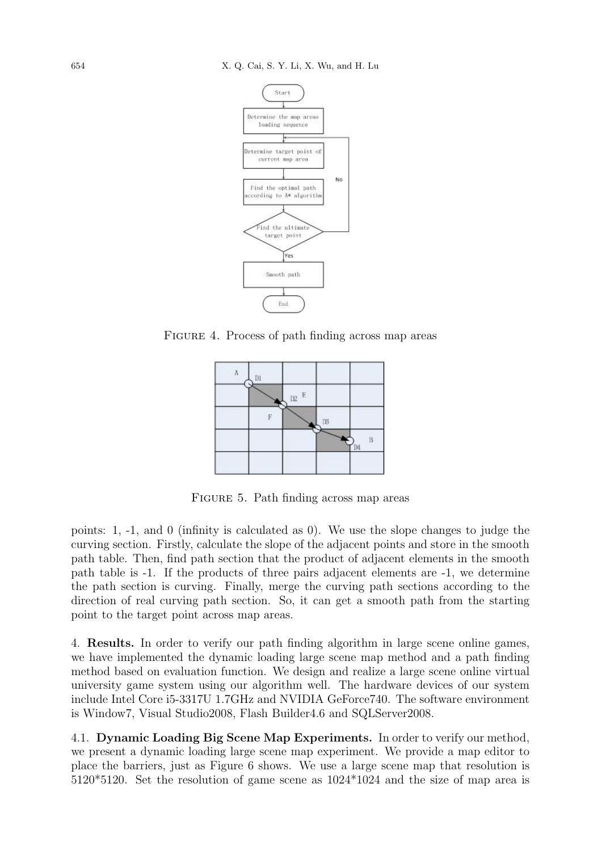

Figure 4. Process of path finding across map areas



FIGURE 5. Path finding across map areas

points: 1, -1, and 0 (infinity is calculated as 0). We use the slope changes to judge the curving section. Firstly, calculate the slope of the adjacent points and store in the smooth path table. Then, find path section that the product of adjacent elements in the smooth path table is -1. If the products of three pairs adjacent elements are -1, we determine the path section is curving. Finally, merge the curving path sections according to the direction of real curving path section. So, it can get a smooth path from the starting point to the target point across map areas.

4. Results. In order to verify our path finding algorithm in large scene online games, we have implemented the dynamic loading large scene map method and a path finding method based on evaluation function. We design and realize a large scene online virtual university game system using our algorithm well. The hardware devices of our system include Intel Core i5-3317U 1.7GHz and NVIDIA GeForce740. The software environment is Window7, Visual Studio2008, Flash Builder4.6 and SQLServer2008.

4.1. Dynamic Loading Big Scene Map Experiments. In order to verify our method, we present a dynamic loading large scene map experiment. We provide a map editor to place the barriers, just as Figure 6 shows. We use a large scene map that resolution is 5120\*5120. Set the resolution of game scene as 1024\*1024 and the size of map area is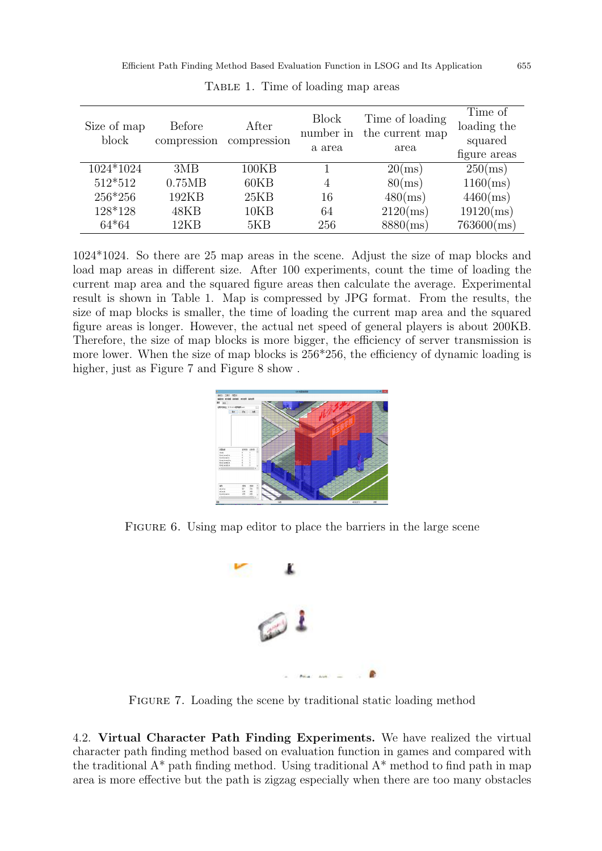| Size of map<br>block       | <b>Before</b><br>compression | After<br>compression | <b>Block</b><br>number in<br>a area | Time of loading<br>the current map<br>area | Time of<br>loading the<br>squared<br>figure areas |
|----------------------------|------------------------------|----------------------|-------------------------------------|--------------------------------------------|---------------------------------------------------|
| $\overline{1024}$ * $1024$ | 3MB                          | 100KB                |                                     | $20 \, \text{ms}$                          | $250$ (ms)                                        |
| 512*512                    | 0.75MB                       | 60KB                 | 4                                   | $80$ (ms)                                  | $1160$ (ms)                                       |
| 256*256                    | 192KB                        | 25KB                 | 16                                  | $480$ (ms)                                 | $4460$ (ms)                                       |
| 128*128                    | 48KB                         | 10KB                 | 64                                  | $2120 \, \text{(ms)}$                      | $19120$ (ms)                                      |
| $64*64$                    | 12KB                         | 5KB                  | 256                                 | $8880 \, \text{(ms)}$                      | $763600 \text{ (ms)}$                             |

TABLE 1. Time of loading map areas

1024\*1024. So there are 25 map areas in the scene. Adjust the size of map blocks and load map areas in different size. After 100 experiments, count the time of loading the current map area and the squared figure areas then calculate the average. Experimental result is shown in Table 1. Map is compressed by JPG format. From the results, the size of map blocks is smaller, the time of loading the current map area and the squared figure areas is longer. However, the actual net speed of general players is about 200KB. Therefore, the size of map blocks is more bigger, the efficiency of server transmission is more lower. When the size of map blocks is 256\*256, the efficiency of dynamic loading is higher, just as Figure 7 and Figure 8 show.

FIGURE 6. Using map editor to place the barriers in the large scene



FIGURE 7. Loading the scene by traditional static loading method

4.2. Virtual Character Path Finding Experiments. We have realized the virtual character path finding method based on evaluation function in games and compared with the traditional  $A^*$  path finding method. Using traditional  $A^*$  method to find path in map area is more effective but the path is zigzag especially when there are too many obstacles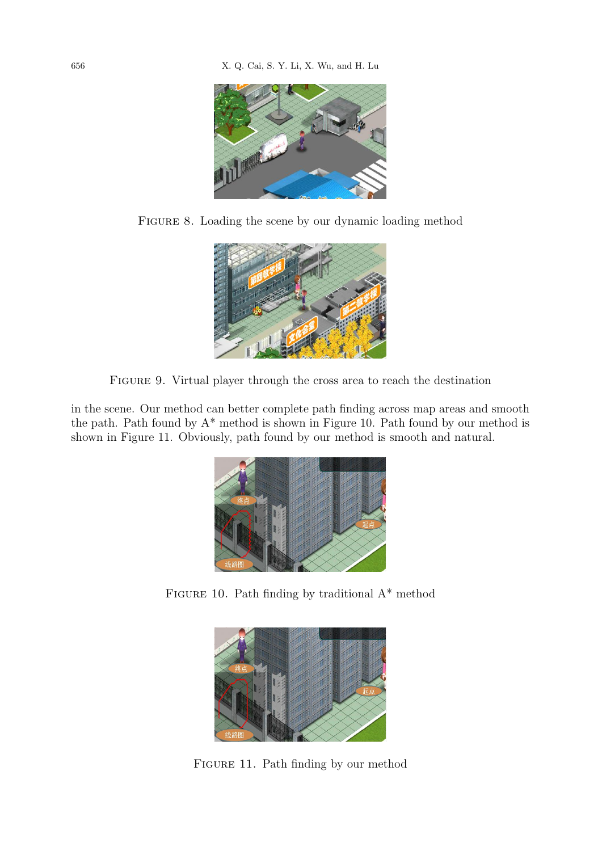

FIGURE 8. Loading the scene by our dynamic loading method



Figure 9. Virtual player through the cross area to reach the destination

in the scene. Our method can better complete path finding across map areas and smooth the path. Path found by A\* method is shown in Figure 10. Path found by our method is shown in Figure 11. Obviously, path found by our method is smooth and natural.



FIGURE 10. Path finding by traditional  $A^*$  method



FIGURE 11. Path finding by our method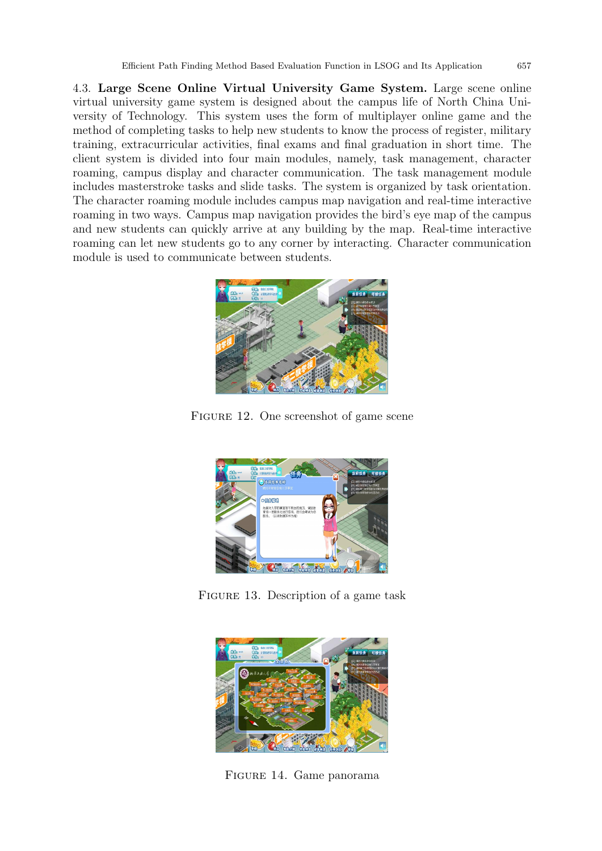4.3. Large Scene Online Virtual University Game System. Large scene online virtual university game system is designed about the campus life of North China University of Technology. This system uses the form of multiplayer online game and the method of completing tasks to help new students to know the process of register, military training, extracurricular activities, final exams and final graduation in short time. The client system is divided into four main modules, namely, task management, character roaming, campus display and character communication. The task management module includes masterstroke tasks and slide tasks. The system is organized by task orientation. The character roaming module includes campus map navigation and real-time interactive roaming in two ways. Campus map navigation provides the bird's eye map of the campus and new students can quickly arrive at any building by the map. Real-time interactive roaming can let new students go to any corner by interacting. Character communication module is used to communicate between students.



Figure 12. One screenshot of game scene



FIGURE 13. Description of a game task



Figure 14. Game panorama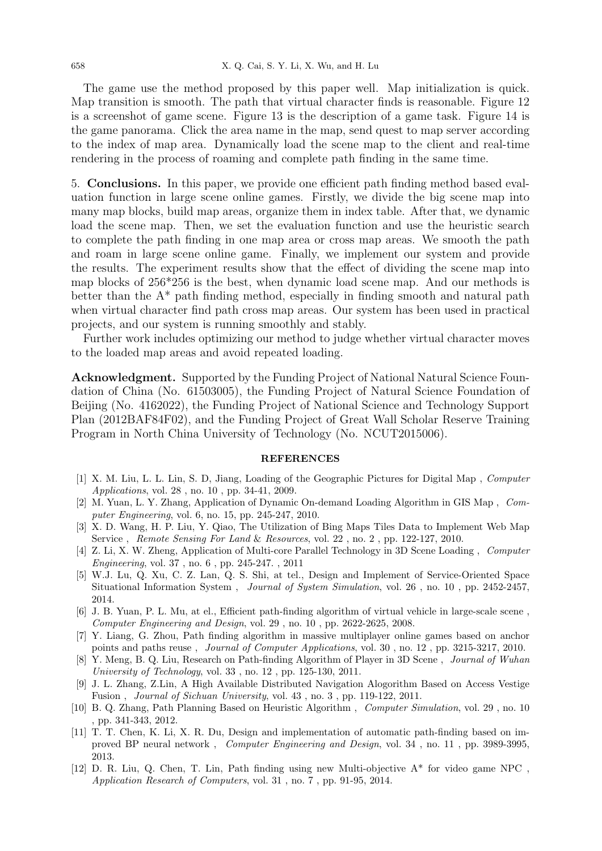The game use the method proposed by this paper well. Map initialization is quick. Map transition is smooth. The path that virtual character finds is reasonable. Figure 12 is a screenshot of game scene. Figure 13 is the description of a game task. Figure 14 is the game panorama. Click the area name in the map, send quest to map server according to the index of map area. Dynamically load the scene map to the client and real-time rendering in the process of roaming and complete path finding in the same time.

5. Conclusions. In this paper, we provide one efficient path finding method based evaluation function in large scene online games. Firstly, we divide the big scene map into many map blocks, build map areas, organize them in index table. After that, we dynamic load the scene map. Then, we set the evaluation function and use the heuristic search to complete the path finding in one map area or cross map areas. We smooth the path and roam in large scene online game. Finally, we implement our system and provide the results. The experiment results show that the effect of dividing the scene map into map blocks of 256\*256 is the best, when dynamic load scene map. And our methods is better than the A\* path finding method, especially in finding smooth and natural path when virtual character find path cross map areas. Our system has been used in practical projects, and our system is running smoothly and stably.

Further work includes optimizing our method to judge whether virtual character moves to the loaded map areas and avoid repeated loading.

Acknowledgment. Supported by the Funding Project of National Natural Science Foundation of China (No. 61503005), the Funding Project of Natural Science Foundation of Beijing (No. 4162022), the Funding Project of National Science and Technology Support Plan (2012BAF84F02), and the Funding Project of Great Wall Scholar Reserve Training Program in North China University of Technology (No. NCUT2015006).

## REFERENCES

- [1] X. M. Liu, L. L. Lin, S. D, Jiang, Loading of the Geographic Pictures for Digital Map , Computer Applications, vol. 28 , no. 10 , pp. 34-41, 2009.
- [2] M. Yuan, L. Y. Zhang, Application of Dynamic On-demand Loading Algorithm in GIS Map , Computer Engineering, vol. 6, no. 15, pp. 245-247, 2010.
- [3] X. D. Wang, H. P. Liu, Y. Qiao, The Utilization of Bing Maps Tiles Data to Implement Web Map Service , Remote Sensing For Land & Resources, vol. 22 , no. 2 , pp. 122-127, 2010.
- [4] Z. Li, X. W. Zheng, Application of Multi-core Parallel Technology in 3D Scene Loading , Computer Engineering, vol. 37 , no. 6 , pp. 245-247. , 2011
- [5] W.J. Lu, Q. Xu, C. Z. Lan, Q. S. Shi, at tel., Design and Implement of Service-Oriented Space Situational Information System , Journal of System Simulation, vol. 26 , no. 10 , pp. 2452-2457, 2014.
- [6] J. B. Yuan, P. L. Mu, at el., Efficient path-finding algorithm of virtual vehicle in large-scale scene , Computer Engineering and Design, vol. 29 , no. 10 , pp. 2622-2625, 2008.
- [7] Y. Liang, G. Zhou, Path finding algorithm in massive multiplayer online games based on anchor points and paths reuse , Journal of Computer Applications, vol. 30 , no. 12 , pp. 3215-3217, 2010.
- [8] Y. Meng, B. Q. Liu, Research on Path-finding Algorithm of Player in 3D Scene, *Journal of Wuhan* University of Technology, vol. 33 , no. 12 , pp. 125-130, 2011.
- [9] J. L. Zhang, Z.Lin, A High Available Distributed Navigation Alogorithm Based on Access Vestige Fusion , Journal of Sichuan University, vol. 43 , no. 3 , pp. 119-122, 2011.
- [10] B. Q. Zhang, Path Planning Based on Heuristic Algorithm , Computer Simulation, vol. 29 , no. 10 , pp. 341-343, 2012.
- [11] T. T. Chen, K. Li, X. R. Du, Design and implementation of automatic path-finding based on improved BP neural network , Computer Engineering and Design, vol. 34 , no. 11 , pp. 3989-3995, 2013.
- [12] D. R. Liu, Q. Chen, T. Lin, Path finding using new Multi-objective A\* for video game NPC , Application Research of Computers, vol. 31 , no. 7 , pp. 91-95, 2014.